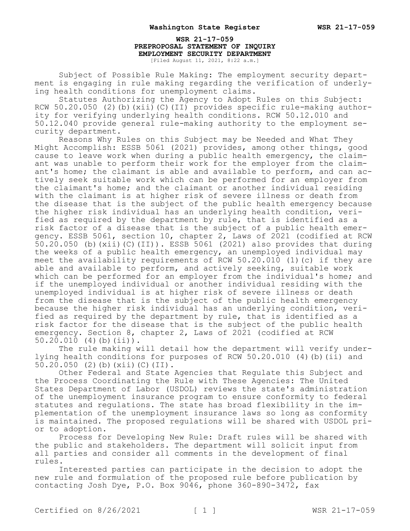**WSR 21-17-059 PREPROPOSAL STATEMENT OF INQUIRY EMPLOYMENT SECURITY DEPARTMENT** [Filed August 11, 2021, 8:22 a.m.]

Subject of Possible Rule Making: The employment security department is engaging in rule making regarding the verification of underlying health conditions for unemployment claims.

Statutes Authorizing the Agency to Adopt Rules on this Subject: RCW 50.20.050 (2)(b)(xii)(C)(II) provides specific rule-making authority for verifying underlying health conditions. RCW 50.12.010 and 50.12.040 provide general rule-making authority to the employment security department.

Reasons Why Rules on this Subject may be Needed and What They Might Accomplish: ESSB 5061 (2021) provides, among other things, good cause to leave work when during a public health emergency, the claimant was unable to perform their work for the employer from the claimant's home; the claimant is able and available to perform, and can actively seek suitable work which can be performed for an employer from the claimant's home; and the claimant or another individual residing with the claimant is at higher risk of severe illness or death from the disease that is the subject of the public health emergency because the higher risk individual has an underlying health condition, verified as required by the department by rule, that is identified as a risk factor of a disease that is the subject of a public health emergency. ESSB 5061, section 10, chapter 2, Laws of 2021 (codified at RCW  $50.20.050$  (b)(xii)(C)(II)). ESSB 5061 (2021) also provides that during the weeks of a public health emergency, an unemployed individual may meet the availability requirements of RCW 50.20.010 (1)(c) if they are able and available to perform, and actively seeking, suitable work which can be performed for an employer from the individual's home; and if the unemployed individual or another individual residing with the unemployed individual is at higher risk of severe illness or death from the disease that is the subject of the public health emergency because the higher risk individual has an underlying condition, verified as required by the department by rule, that is identified as a risk factor for the disease that is the subject of the public health emergency. Section 8, chapter 2, Laws of 2021 (codified at RCW  $50.20.010$  (4)(b)(ii)).

The rule making will detail how the department will verify underlying health conditions for purposes of RCW 50.20.010 (4)(b)(ii) and 50.20.050 (2)(b)(xii)(C)(II).

Other Federal and State Agencies that Regulate this Subject and the Process Coordinating the Rule with These Agencies: The United States Department of Labor (USDOL) reviews the state's administration of the unemployment insurance program to ensure conformity to federal statutes and regulations. The state has broad flexibility in the implementation of the unemployment insurance laws so long as conformity is maintained. The proposed regulations will be shared with USDOL prior to adoption.

Process for Developing New Rule: Draft rules will be shared with the public and stakeholders. The department will solicit input from all parties and consider all comments in the development of final rules.

Interested parties can participate in the decision to adopt the new rule and formulation of the proposed rule before publication by contacting Josh Dye, P.O. Box 9046, phone 360-890-3472, fax